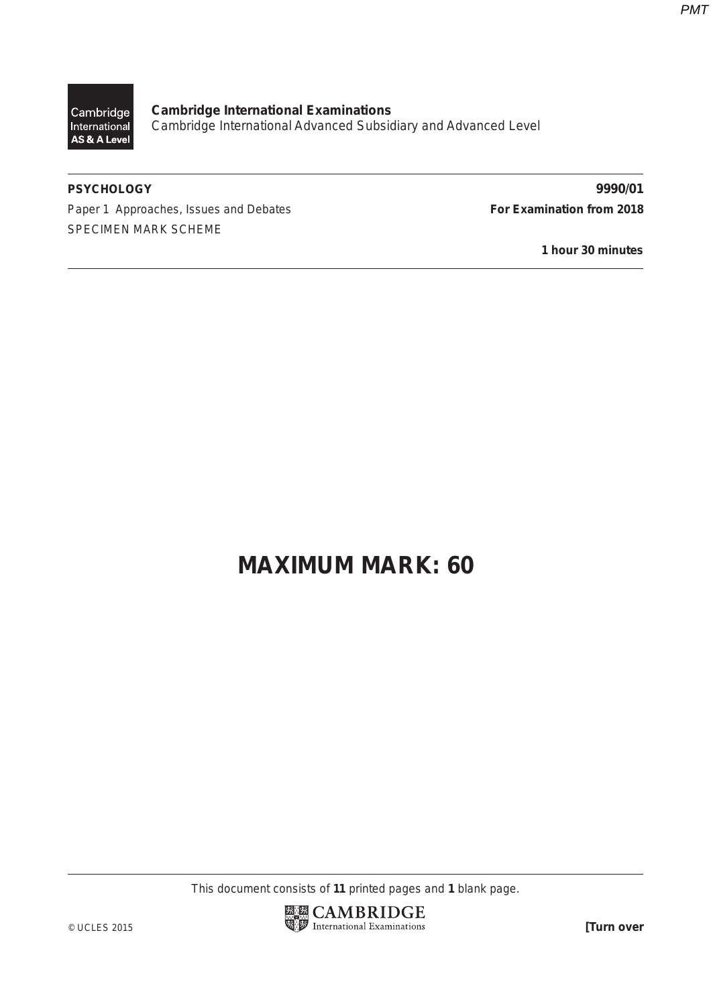*PMT*

Cambridge International AS & A Level

**Cambridge International Examinations** Cambridge International Advanced Subsidiary and Advanced Level

Paper 1 Approaches, Issues and Debates **For Examination from 2018** SPECIMEN MARK SCHEME

**PSYCHOLOGY 9990/01**

**1 hour 30 minutes**

# **MAXIMUM MARK: 60**

This document consists of **11** printed pages and **1** blank page.

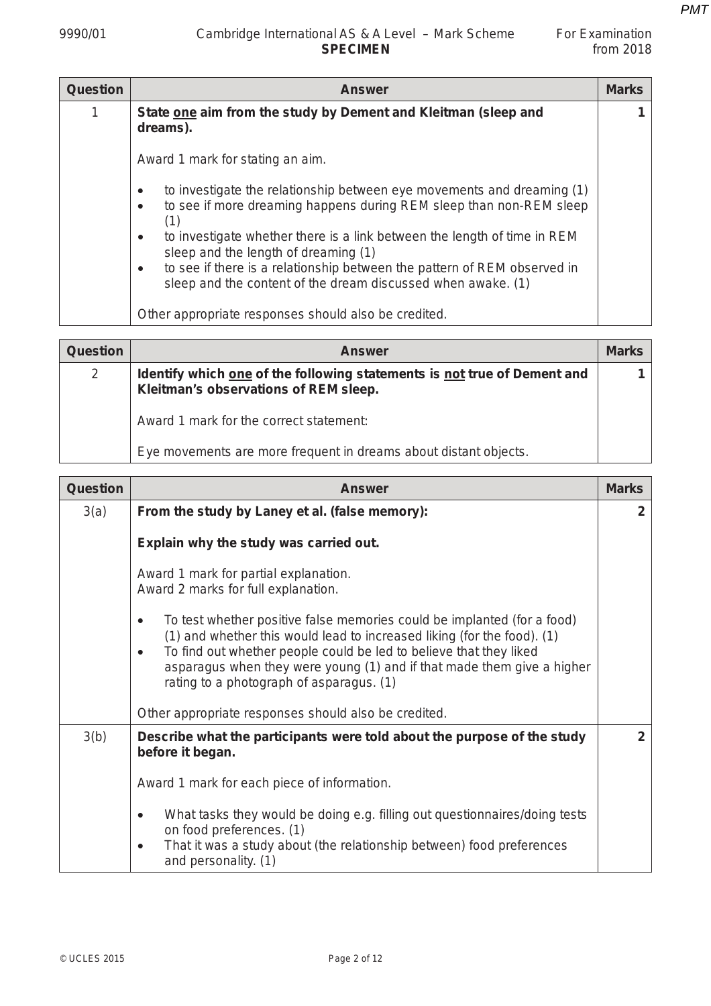| For Examination |           |
|-----------------|-----------|
|                 | from 2018 |

| <b>Question</b> | <b>Answer</b>                                                                                                                                                                  | <b>Marks</b> |
|-----------------|--------------------------------------------------------------------------------------------------------------------------------------------------------------------------------|--------------|
| 1               | State one aim from the study by Dement and Kleitman (sleep and<br>dreams).                                                                                                     |              |
|                 | Award 1 mark for stating an aim.                                                                                                                                               |              |
|                 | to investigate the relationship between eye movements and dreaming (1)<br>$\bullet$<br>to see if more dreaming happens during REM sleep than non-REM sleep<br>$\bullet$<br>(1) |              |
|                 | to investigate whether there is a link between the length of time in REM<br>$\bullet$<br>sleep and the length of dreaming (1)                                                  |              |
|                 | to see if there is a relationship between the pattern of REM observed in<br>$\bullet$<br>sleep and the content of the dream discussed when awake. (1)                          |              |
|                 | Other appropriate responses should also be credited.                                                                                                                           |              |

| <b>Question</b> | <b>Answer</b>                                                                                                     | <b>Marks</b> |
|-----------------|-------------------------------------------------------------------------------------------------------------------|--------------|
| $\overline{2}$  | Identify which one of the following statements is not true of Dement and<br>Kleitman's observations of REM sleep. |              |
|                 | Award 1 mark for the correct statement:                                                                           |              |
|                 | Eye movements are more frequent in dreams about distant objects.                                                  |              |

| Question | <b>Answer</b>                                                                                                                                                                                                                                                                                                                                               | <b>Marks</b> |
|----------|-------------------------------------------------------------------------------------------------------------------------------------------------------------------------------------------------------------------------------------------------------------------------------------------------------------------------------------------------------------|--------------|
| 3(a)     | From the study by Laney et al. (false memory):                                                                                                                                                                                                                                                                                                              | $\mathbf{2}$ |
|          | Explain why the study was carried out.                                                                                                                                                                                                                                                                                                                      |              |
|          | Award 1 mark for partial explanation.<br>Award 2 marks for full explanation.                                                                                                                                                                                                                                                                                |              |
|          | To test whether positive false memories could be implanted (for a food)<br>$\bullet$<br>(1) and whether this would lead to increased liking (for the food). (1)<br>To find out whether people could be led to believe that they liked<br>asparagus when they were young (1) and if that made them give a higher<br>rating to a photograph of asparagus. (1) |              |
|          | Other appropriate responses should also be credited.                                                                                                                                                                                                                                                                                                        |              |
| 3(b)     | Describe what the participants were told about the purpose of the study<br>before it began.                                                                                                                                                                                                                                                                 | $\mathbf{2}$ |
|          | Award 1 mark for each piece of information.                                                                                                                                                                                                                                                                                                                 |              |
|          | What tasks they would be doing e.g. filling out questionnaires/doing tests<br>$\bullet$<br>on food preferences. (1)<br>That it was a study about (the relationship between) food preferences<br>$\bullet$<br>and personality. (1)                                                                                                                           |              |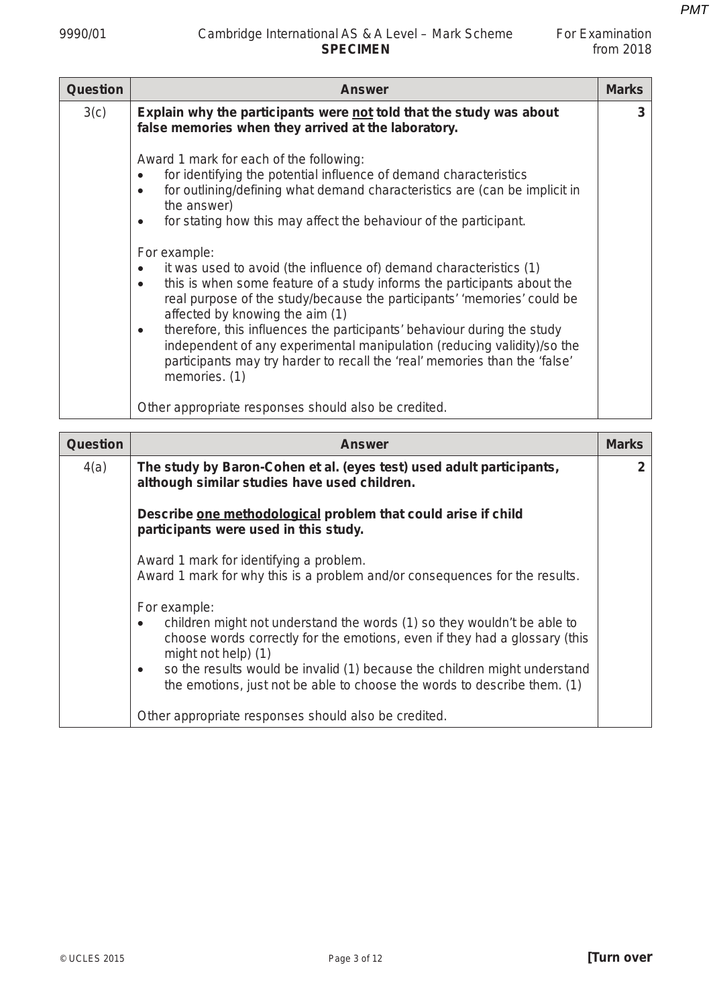## 9990/01 Cambridge International AS & A Level – Mark Scheme For Examination<br>from 2018 **SPECIMEN**

| <b>Question</b> | <b>Answer</b>                                                                                                                                                                                                                                                                                                                                                                                                                                                                                                                                                                                                                                                                                                                                                                                                                                                  | <b>Marks</b> |
|-----------------|----------------------------------------------------------------------------------------------------------------------------------------------------------------------------------------------------------------------------------------------------------------------------------------------------------------------------------------------------------------------------------------------------------------------------------------------------------------------------------------------------------------------------------------------------------------------------------------------------------------------------------------------------------------------------------------------------------------------------------------------------------------------------------------------------------------------------------------------------------------|--------------|
| 3(c)            | Explain why the participants were not told that the study was about<br>false memories when they arrived at the laboratory.                                                                                                                                                                                                                                                                                                                                                                                                                                                                                                                                                                                                                                                                                                                                     | 3            |
|                 | Award 1 mark for each of the following:<br>for identifying the potential influence of demand characteristics<br>for outlining/defining what demand characteristics are (can be implicit in<br>$\bullet$<br>the answer)<br>for stating how this may affect the behaviour of the participant.<br>٠<br>For example:<br>it was used to avoid (the influence of) demand characteristics (1)<br>this is when some feature of a study informs the participants about the<br>$\bullet$<br>real purpose of the study/because the participants' 'memories' could be<br>affected by knowing the aim (1)<br>therefore, this influences the participants' behaviour during the study<br>$\bullet$<br>independent of any experimental manipulation (reducing validity)/so the<br>participants may try harder to recall the 'real' memories than the 'false'<br>memories. (1) |              |
|                 | Other appropriate responses should also be credited.                                                                                                                                                                                                                                                                                                                                                                                                                                                                                                                                                                                                                                                                                                                                                                                                           |              |

| <b>Question</b> | <b>Answer</b>                                                                                                                                                                                                                                                                                                                                               | <b>Marks</b> |
|-----------------|-------------------------------------------------------------------------------------------------------------------------------------------------------------------------------------------------------------------------------------------------------------------------------------------------------------------------------------------------------------|--------------|
| 4(a)            | The study by Baron-Cohen et al. (eyes test) used adult participants,<br>although similar studies have used children.                                                                                                                                                                                                                                        | $\mathbf{2}$ |
|                 | Describe one methodological problem that could arise if child<br>participants were used in this study.                                                                                                                                                                                                                                                      |              |
|                 | Award 1 mark for identifying a problem.<br>Award 1 mark for why this is a problem and/or consequences for the results.                                                                                                                                                                                                                                      |              |
|                 | For example:<br>children might not understand the words (1) so they wouldn't be able to<br>choose words correctly for the emotions, even if they had a glossary (this<br>might not help $(1)$<br>so the results would be invalid (1) because the children might understand<br>٠<br>the emotions, just not be able to choose the words to describe them. (1) |              |
|                 | Other appropriate responses should also be credited.                                                                                                                                                                                                                                                                                                        |              |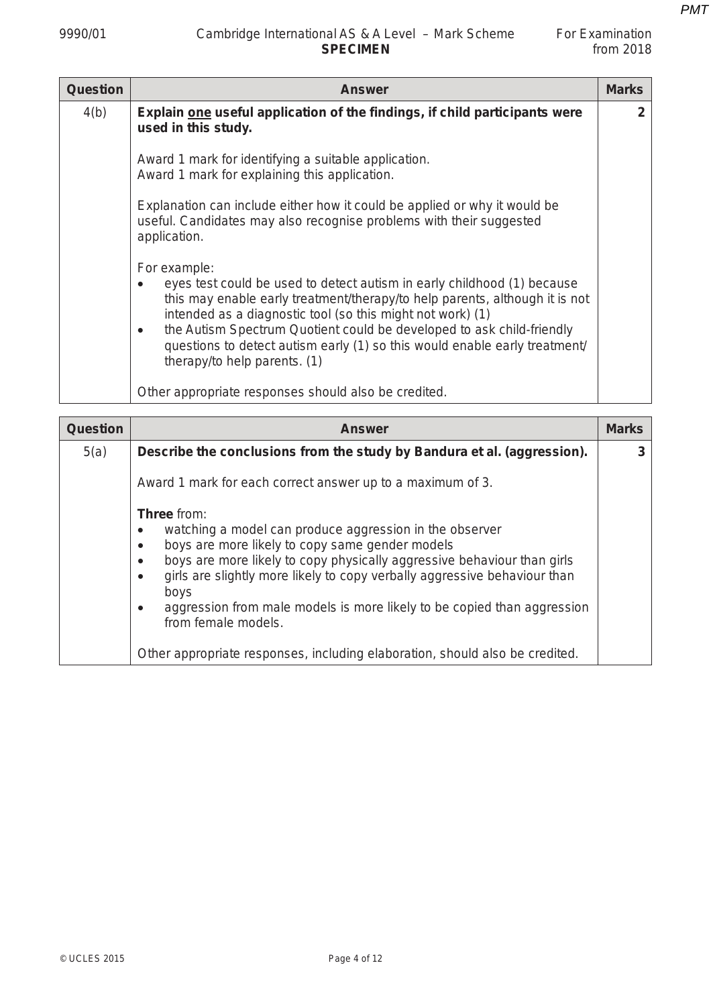$\overline{\phantom{a}}$ 

| <b>Question</b> | <b>Answer</b>                                                                                                                                                                                                                                                                                                                                                                                                                    | <b>Marks</b>   |
|-----------------|----------------------------------------------------------------------------------------------------------------------------------------------------------------------------------------------------------------------------------------------------------------------------------------------------------------------------------------------------------------------------------------------------------------------------------|----------------|
| 4(b)            | Explain one useful application of the findings, if child participants were<br>used in this study.                                                                                                                                                                                                                                                                                                                                | $\overline{2}$ |
|                 | Award 1 mark for identifying a suitable application.<br>Award 1 mark for explaining this application.                                                                                                                                                                                                                                                                                                                            |                |
|                 | Explanation can include either how it could be applied or why it would be<br>useful. Candidates may also recognise problems with their suggested<br>application.                                                                                                                                                                                                                                                                 |                |
|                 | For example:<br>eyes test could be used to detect autism in early childhood (1) because<br>this may enable early treatment/therapy/to help parents, although it is not<br>intended as a diagnostic tool (so this might not work) (1)<br>the Autism Spectrum Quotient could be developed to ask child-friendly<br>٠<br>questions to detect autism early (1) so this would enable early treatment/<br>therapy/to help parents. (1) |                |
|                 | Other appropriate responses should also be credited.                                                                                                                                                                                                                                                                                                                                                                             |                |

| Question | <b>Answer</b>                                                                                                                                                                                                                                                                                                                                                                                                                             | <b>Marks</b> |
|----------|-------------------------------------------------------------------------------------------------------------------------------------------------------------------------------------------------------------------------------------------------------------------------------------------------------------------------------------------------------------------------------------------------------------------------------------------|--------------|
| 5(a)     | Describe the conclusions from the study by Bandura et al. (aggression).                                                                                                                                                                                                                                                                                                                                                                   | 3            |
|          | Award 1 mark for each correct answer up to a maximum of 3.                                                                                                                                                                                                                                                                                                                                                                                |              |
|          | <b>Three</b> from:<br>watching a model can produce aggression in the observer<br>boys are more likely to copy same gender models<br>$\bullet$<br>boys are more likely to copy physically aggressive behaviour than girls<br>girls are slightly more likely to copy verbally aggressive behaviour than<br>$\bullet$<br>boys<br>aggression from male models is more likely to be copied than aggression<br>$\bullet$<br>from female models. |              |
|          | Other appropriate responses, including elaboration, should also be credited.                                                                                                                                                                                                                                                                                                                                                              |              |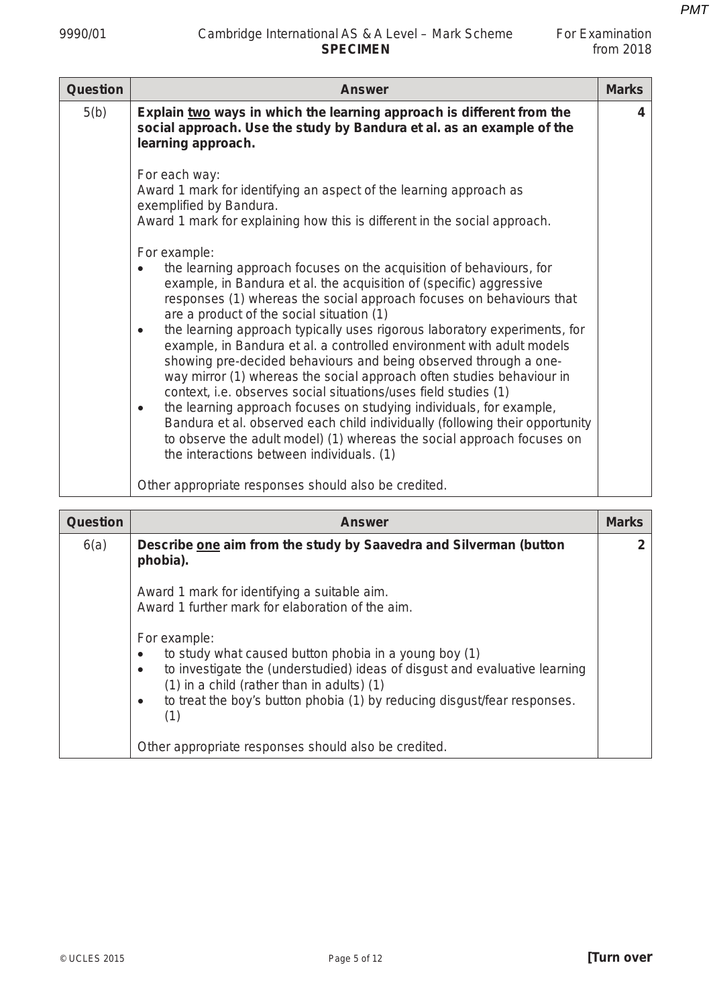| For Examination |             |
|-----------------|-------------|
|                 | from $2018$ |

| <b>Question</b> | <b>Answer</b>                                                                                                                                                                                                                                                                                                                                                                                                                                                                                                                                                                                                                                                                                                                                                                                                                                                                                                                                                 | <b>Marks</b> |
|-----------------|---------------------------------------------------------------------------------------------------------------------------------------------------------------------------------------------------------------------------------------------------------------------------------------------------------------------------------------------------------------------------------------------------------------------------------------------------------------------------------------------------------------------------------------------------------------------------------------------------------------------------------------------------------------------------------------------------------------------------------------------------------------------------------------------------------------------------------------------------------------------------------------------------------------------------------------------------------------|--------------|
| 5(b)            | Explain two ways in which the learning approach is different from the<br>social approach. Use the study by Bandura et al. as an example of the<br>learning approach.                                                                                                                                                                                                                                                                                                                                                                                                                                                                                                                                                                                                                                                                                                                                                                                          | 4            |
|                 | For each way:<br>Award 1 mark for identifying an aspect of the learning approach as<br>exemplified by Bandura.<br>Award 1 mark for explaining how this is different in the social approach.                                                                                                                                                                                                                                                                                                                                                                                                                                                                                                                                                                                                                                                                                                                                                                   |              |
|                 | For example:<br>the learning approach focuses on the acquisition of behaviours, for<br>example, in Bandura et al. the acquisition of (specific) aggressive<br>responses (1) whereas the social approach focuses on behaviours that<br>are a product of the social situation (1)<br>the learning approach typically uses rigorous laboratory experiments, for<br>$\bullet$<br>example, in Bandura et al. a controlled environment with adult models<br>showing pre-decided behaviours and being observed through a one-<br>way mirror (1) whereas the social approach often studies behaviour in<br>context, i.e. observes social situations/uses field studies (1)<br>the learning approach focuses on studying individuals, for example,<br>$\bullet$<br>Bandura et al. observed each child individually (following their opportunity<br>to observe the adult model) (1) whereas the social approach focuses on<br>the interactions between individuals. (1) |              |
|                 | Other appropriate responses should also be credited.                                                                                                                                                                                                                                                                                                                                                                                                                                                                                                                                                                                                                                                                                                                                                                                                                                                                                                          |              |

| <b>Question</b> | <b>Answer</b>                                                                                                                                                                                                                                                                                                   | <b>Marks</b> |
|-----------------|-----------------------------------------------------------------------------------------------------------------------------------------------------------------------------------------------------------------------------------------------------------------------------------------------------------------|--------------|
| 6(a)            | Describe one aim from the study by Saavedra and Silverman (button<br>phobia).                                                                                                                                                                                                                                   |              |
|                 | Award 1 mark for identifying a suitable aim.<br>Award 1 further mark for elaboration of the aim.                                                                                                                                                                                                                |              |
|                 | For example:<br>to study what caused button phobia in a young boy (1)<br>٠<br>to investigate the (understudied) ideas of disgust and evaluative learning<br>$\bullet$<br>$(1)$ in a child (rather than in adults) $(1)$<br>to treat the boy's button phobia (1) by reducing disgust/fear responses.<br>٠<br>(1) |              |
|                 | Other appropriate responses should also be credited.                                                                                                                                                                                                                                                            |              |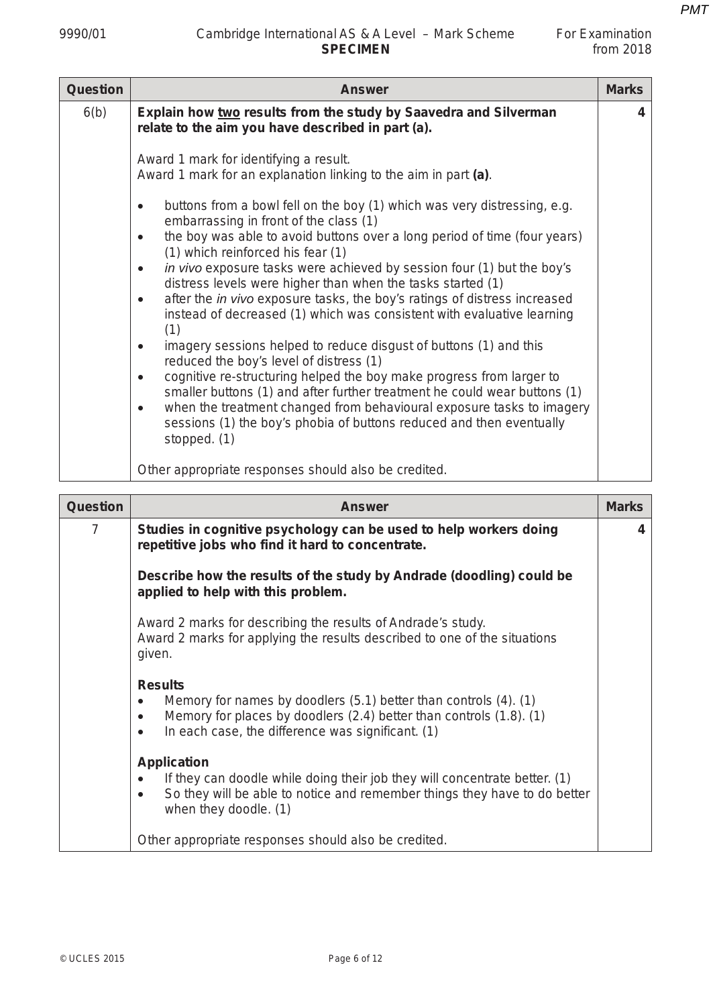| <b>Question</b> | <b>Answer</b>                                                                                                                                                                                                                                                                                                                                                                                                                                                                                                                                                                                                                                                                                                                                                                                                                                                                                                                                                                                       | <b>Marks</b> |
|-----------------|-----------------------------------------------------------------------------------------------------------------------------------------------------------------------------------------------------------------------------------------------------------------------------------------------------------------------------------------------------------------------------------------------------------------------------------------------------------------------------------------------------------------------------------------------------------------------------------------------------------------------------------------------------------------------------------------------------------------------------------------------------------------------------------------------------------------------------------------------------------------------------------------------------------------------------------------------------------------------------------------------------|--------------|
| 6(b)            | Explain how two results from the study by Saavedra and Silverman<br>relate to the aim you have described in part (a).                                                                                                                                                                                                                                                                                                                                                                                                                                                                                                                                                                                                                                                                                                                                                                                                                                                                               | 4            |
|                 | Award 1 mark for identifying a result.<br>Award 1 mark for an explanation linking to the aim in part (a).<br>buttons from a bowl fell on the boy (1) which was very distressing, e.g.<br>$\bullet$<br>embarrassing in front of the class (1)<br>the boy was able to avoid buttons over a long period of time (four years)<br>$\bullet$<br>(1) which reinforced his fear (1)<br>in vivo exposure tasks were achieved by session four (1) but the boy's<br>$\bullet$<br>distress levels were higher than when the tasks started (1)<br>after the in vivo exposure tasks, the boy's ratings of distress increased<br>$\bullet$<br>instead of decreased (1) which was consistent with evaluative learning<br>(1)<br>imagery sessions helped to reduce disgust of buttons (1) and this<br>٠<br>reduced the boy's level of distress (1)<br>cognitive re-structuring helped the boy make progress from larger to<br>$\bullet$<br>smaller buttons (1) and after further treatment he could wear buttons (1) |              |
|                 | when the treatment changed from behavioural exposure tasks to imagery<br>$\bullet$<br>sessions (1) the boy's phobia of buttons reduced and then eventually<br>stopped. (1)<br>Other appropriate responses should also be credited.                                                                                                                                                                                                                                                                                                                                                                                                                                                                                                                                                                                                                                                                                                                                                                  |              |

| <b>Question</b> | <b>Answer</b>                                                                                                                                                                                                                                         | <b>Marks</b> |
|-----------------|-------------------------------------------------------------------------------------------------------------------------------------------------------------------------------------------------------------------------------------------------------|--------------|
| 7               | Studies in cognitive psychology can be used to help workers doing<br>repetitive jobs who find it hard to concentrate.                                                                                                                                 | 4            |
|                 | Describe how the results of the study by Andrade (doodling) could be<br>applied to help with this problem.                                                                                                                                            |              |
|                 | Award 2 marks for describing the results of Andrade's study.<br>Award 2 marks for applying the results described to one of the situations<br>given.                                                                                                   |              |
|                 | <b>Results</b><br>Memory for names by doodlers (5.1) better than controls (4). (1)<br>$\bullet$<br>Memory for places by doodlers (2.4) better than controls (1.8). (1)<br>$\bullet$<br>In each case, the difference was significant. (1)<br>$\bullet$ |              |
|                 | <b>Application</b><br>If they can doodle while doing their job they will concentrate better. (1)<br>So they will be able to notice and remember things they have to do better<br>$\bullet$<br>when they doodle. (1)                                   |              |
|                 | Other appropriate responses should also be credited.                                                                                                                                                                                                  |              |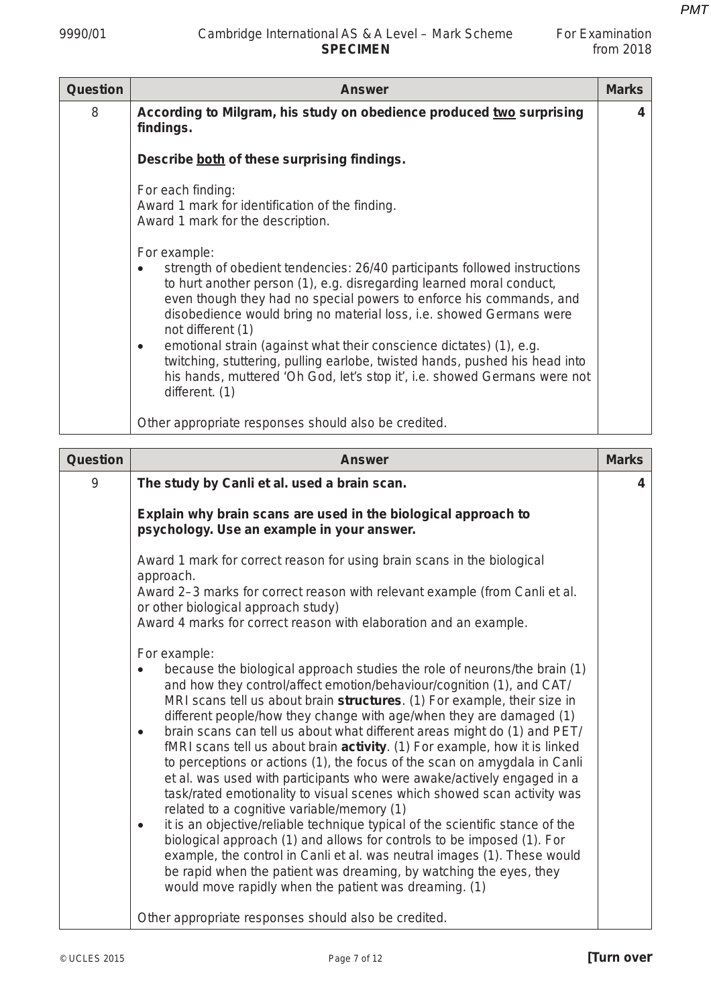| <b>Question</b> | <b>Answer</b>                                                                                                                                                                                                                                                                                                                                                                                                                                                                                                                                                                                          | <b>Marks</b> |
|-----------------|--------------------------------------------------------------------------------------------------------------------------------------------------------------------------------------------------------------------------------------------------------------------------------------------------------------------------------------------------------------------------------------------------------------------------------------------------------------------------------------------------------------------------------------------------------------------------------------------------------|--------------|
| 8               | According to Milgram, his study on obedience produced two surprising<br>findings.                                                                                                                                                                                                                                                                                                                                                                                                                                                                                                                      | 4            |
|                 | Describe both of these surprising findings.                                                                                                                                                                                                                                                                                                                                                                                                                                                                                                                                                            |              |
|                 | For each finding:<br>Award 1 mark for identification of the finding.<br>Award 1 mark for the description.                                                                                                                                                                                                                                                                                                                                                                                                                                                                                              |              |
|                 | For example:<br>strength of obedient tendencies: 26/40 participants followed instructions<br>to hurt another person (1), e.g. disregarding learned moral conduct,<br>even though they had no special powers to enforce his commands, and<br>disobedience would bring no material loss, i.e. showed Germans were<br>not different (1)<br>emotional strain (against what their conscience dictates) (1), e.g.<br>$\bullet$<br>twitching, stuttering, pulling earlobe, twisted hands, pushed his head into<br>his hands, muttered 'Oh God, let's stop it', i.e. showed Germans were not<br>different. (1) |              |
|                 | Other appropriate responses should also be credited.                                                                                                                                                                                                                                                                                                                                                                                                                                                                                                                                                   |              |

| Question | <b>Answer</b>                                                                                                                                                                                                                                                                                                                                                                                                                                                                                                                                                                                                                                                                                                                                                                                                                                                                                                                                                                                                                                                                                                                                                                                                                                                                                                                                                                             | <b>Marks</b> |
|----------|-------------------------------------------------------------------------------------------------------------------------------------------------------------------------------------------------------------------------------------------------------------------------------------------------------------------------------------------------------------------------------------------------------------------------------------------------------------------------------------------------------------------------------------------------------------------------------------------------------------------------------------------------------------------------------------------------------------------------------------------------------------------------------------------------------------------------------------------------------------------------------------------------------------------------------------------------------------------------------------------------------------------------------------------------------------------------------------------------------------------------------------------------------------------------------------------------------------------------------------------------------------------------------------------------------------------------------------------------------------------------------------------|--------------|
| 9        | The study by Canli et al. used a brain scan.                                                                                                                                                                                                                                                                                                                                                                                                                                                                                                                                                                                                                                                                                                                                                                                                                                                                                                                                                                                                                                                                                                                                                                                                                                                                                                                                              | 4            |
|          | Explain why brain scans are used in the biological approach to<br>psychology. Use an example in your answer.                                                                                                                                                                                                                                                                                                                                                                                                                                                                                                                                                                                                                                                                                                                                                                                                                                                                                                                                                                                                                                                                                                                                                                                                                                                                              |              |
|          | Award 1 mark for correct reason for using brain scans in the biological<br>approach.<br>Award 2-3 marks for correct reason with relevant example (from Canli et al.<br>or other biological approach study)<br>Award 4 marks for correct reason with elaboration and an example.<br>For example:<br>because the biological approach studies the role of neurons/the brain (1)<br>and how they control/affect emotion/behaviour/cognition (1), and CAT/<br>MRI scans tell us about brain structures. (1) For example, their size in<br>different people/how they change with age/when they are damaged (1)<br>brain scans can tell us about what different areas might do (1) and PET/<br>$\bullet$<br>fMRI scans tell us about brain activity. (1) For example, how it is linked<br>to perceptions or actions (1), the focus of the scan on amygdala in Canli<br>et al. was used with participants who were awake/actively engaged in a<br>task/rated emotionality to visual scenes which showed scan activity was<br>related to a cognitive variable/memory (1)<br>it is an objective/reliable technique typical of the scientific stance of the<br>$\bullet$<br>biological approach (1) and allows for controls to be imposed (1). For<br>example, the control in Canli et al. was neutral images (1). These would<br>be rapid when the patient was dreaming, by watching the eyes, they |              |
|          | would move rapidly when the patient was dreaming. (1)<br>Other appropriate responses should also be credited.                                                                                                                                                                                                                                                                                                                                                                                                                                                                                                                                                                                                                                                                                                                                                                                                                                                                                                                                                                                                                                                                                                                                                                                                                                                                             |              |
|          |                                                                                                                                                                                                                                                                                                                                                                                                                                                                                                                                                                                                                                                                                                                                                                                                                                                                                                                                                                                                                                                                                                                                                                                                                                                                                                                                                                                           |              |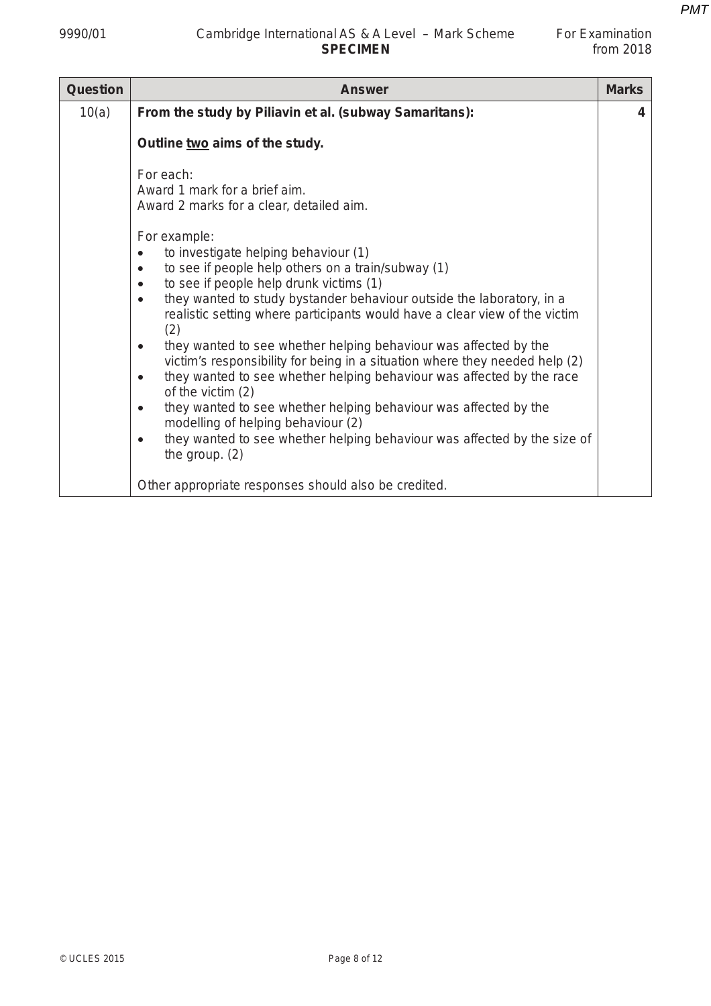| <b>Question</b> | <b>Answer</b>                                                                                                                                                                                                                                                                                                                                                                                                                                                                                                                                                                                                                                                                                                                                  | <b>Marks</b> |
|-----------------|------------------------------------------------------------------------------------------------------------------------------------------------------------------------------------------------------------------------------------------------------------------------------------------------------------------------------------------------------------------------------------------------------------------------------------------------------------------------------------------------------------------------------------------------------------------------------------------------------------------------------------------------------------------------------------------------------------------------------------------------|--------------|
| 10(a)           | From the study by Piliavin et al. (subway Samaritans):                                                                                                                                                                                                                                                                                                                                                                                                                                                                                                                                                                                                                                                                                         | 4            |
|                 | Outline two aims of the study.                                                                                                                                                                                                                                                                                                                                                                                                                                                                                                                                                                                                                                                                                                                 |              |
|                 | For each:<br>Award 1 mark for a brief aim.<br>Award 2 marks for a clear, detailed aim.<br>For example:<br>to investigate helping behaviour (1)<br>$\bullet$<br>to see if people help others on a train/subway (1)<br>$\bullet$<br>to see if people help drunk victims (1)<br>$\bullet$<br>they wanted to study bystander behaviour outside the laboratory, in a<br>$\bullet$<br>realistic setting where participants would have a clear view of the victim<br>(2)<br>they wanted to see whether helping behaviour was affected by the<br>$\bullet$<br>victim's responsibility for being in a situation where they needed help (2)<br>they wanted to see whether helping behaviour was affected by the race<br>$\bullet$<br>of the victim $(2)$ |              |
|                 | they wanted to see whether helping behaviour was affected by the<br>$\bullet$<br>modelling of helping behaviour (2)<br>they wanted to see whether helping behaviour was affected by the size of<br>$\bullet$<br>the group. $(2)$                                                                                                                                                                                                                                                                                                                                                                                                                                                                                                               |              |
|                 | Other appropriate responses should also be credited.                                                                                                                                                                                                                                                                                                                                                                                                                                                                                                                                                                                                                                                                                           |              |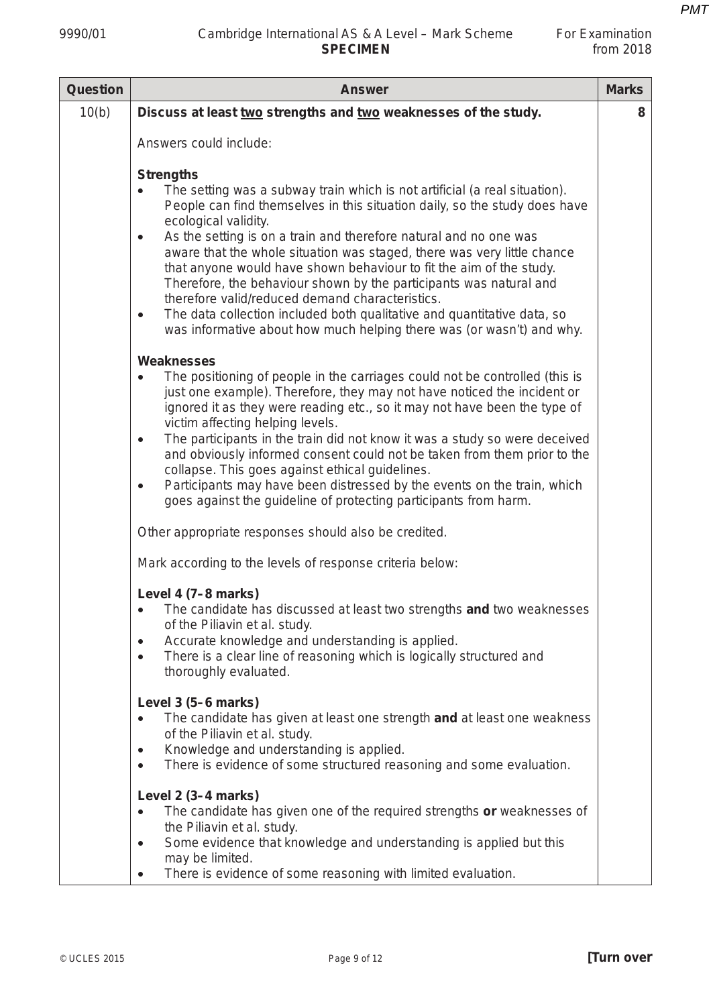| For Examination |             |
|-----------------|-------------|
|                 | from $2018$ |

| <b>Question</b> | <b>Marks</b><br><b>Answer</b>                                                                                                                                                                                                                                                                                                                                                                                                                                                                                                                                                                                                                                                                                                                                                                                                                                                                                                                                                                                                                                                                                                                                                                                                                                                                                                                                                                                                                                                                                                                                                                                                                                                                                                                                                                                                                                   |   |  |
|-----------------|-----------------------------------------------------------------------------------------------------------------------------------------------------------------------------------------------------------------------------------------------------------------------------------------------------------------------------------------------------------------------------------------------------------------------------------------------------------------------------------------------------------------------------------------------------------------------------------------------------------------------------------------------------------------------------------------------------------------------------------------------------------------------------------------------------------------------------------------------------------------------------------------------------------------------------------------------------------------------------------------------------------------------------------------------------------------------------------------------------------------------------------------------------------------------------------------------------------------------------------------------------------------------------------------------------------------------------------------------------------------------------------------------------------------------------------------------------------------------------------------------------------------------------------------------------------------------------------------------------------------------------------------------------------------------------------------------------------------------------------------------------------------------------------------------------------------------------------------------------------------|---|--|
| 10(b)           | Discuss at least two strengths and two weaknesses of the study.                                                                                                                                                                                                                                                                                                                                                                                                                                                                                                                                                                                                                                                                                                                                                                                                                                                                                                                                                                                                                                                                                                                                                                                                                                                                                                                                                                                                                                                                                                                                                                                                                                                                                                                                                                                                 | 8 |  |
|                 | Answers could include:                                                                                                                                                                                                                                                                                                                                                                                                                                                                                                                                                                                                                                                                                                                                                                                                                                                                                                                                                                                                                                                                                                                                                                                                                                                                                                                                                                                                                                                                                                                                                                                                                                                                                                                                                                                                                                          |   |  |
|                 | <b>Strengths</b><br>The setting was a subway train which is not artificial (a real situation).<br>$\bullet$<br>People can find themselves in this situation daily, so the study does have<br>ecological validity.<br>As the setting is on a train and therefore natural and no one was<br>$\bullet$<br>aware that the whole situation was staged, there was very little chance<br>that anyone would have shown behaviour to fit the aim of the study.<br>Therefore, the behaviour shown by the participants was natural and<br>therefore valid/reduced demand characteristics.<br>The data collection included both qualitative and quantitative data, so<br>$\bullet$<br>was informative about how much helping there was (or wasn't) and why.<br><b>Weaknesses</b><br>The positioning of people in the carriages could not be controlled (this is<br>$\bullet$<br>just one example). Therefore, they may not have noticed the incident or<br>ignored it as they were reading etc., so it may not have been the type of<br>victim affecting helping levels.<br>The participants in the train did not know it was a study so were deceived<br>$\bullet$<br>and obviously informed consent could not be taken from them prior to the<br>collapse. This goes against ethical guidelines.<br>Participants may have been distressed by the events on the train, which<br>$\bullet$<br>goes against the guideline of protecting participants from harm.<br>Other appropriate responses should also be credited.<br>Mark according to the levels of response criteria below:<br>Level 4 (7-8 marks)<br>• The candidate has discussed at least two strengths and two weaknesses<br>of the Piliavin et al. study.<br>Accurate knowledge and understanding is applied.<br>$\bullet$<br>There is a clear line of reasoning which is logically structured and<br>$\bullet$ |   |  |
|                 | thoroughly evaluated.<br>Level 3 (5-6 marks)                                                                                                                                                                                                                                                                                                                                                                                                                                                                                                                                                                                                                                                                                                                                                                                                                                                                                                                                                                                                                                                                                                                                                                                                                                                                                                                                                                                                                                                                                                                                                                                                                                                                                                                                                                                                                    |   |  |
|                 | The candidate has given at least one strength and at least one weakness<br>$\bullet$<br>of the Piliavin et al. study.<br>Knowledge and understanding is applied.<br>$\bullet$                                                                                                                                                                                                                                                                                                                                                                                                                                                                                                                                                                                                                                                                                                                                                                                                                                                                                                                                                                                                                                                                                                                                                                                                                                                                                                                                                                                                                                                                                                                                                                                                                                                                                   |   |  |
|                 | There is evidence of some structured reasoning and some evaluation.<br>$\bullet$                                                                                                                                                                                                                                                                                                                                                                                                                                                                                                                                                                                                                                                                                                                                                                                                                                                                                                                                                                                                                                                                                                                                                                                                                                                                                                                                                                                                                                                                                                                                                                                                                                                                                                                                                                                |   |  |
|                 | Level 2 (3-4 marks)<br>The candidate has given one of the required strengths or weaknesses of<br>$\bullet$<br>the Piliavin et al. study.<br>Some evidence that knowledge and understanding is applied but this<br>$\bullet$                                                                                                                                                                                                                                                                                                                                                                                                                                                                                                                                                                                                                                                                                                                                                                                                                                                                                                                                                                                                                                                                                                                                                                                                                                                                                                                                                                                                                                                                                                                                                                                                                                     |   |  |
|                 | may be limited.<br>There is evidence of some reasoning with limited evaluation.<br>$\bullet$                                                                                                                                                                                                                                                                                                                                                                                                                                                                                                                                                                                                                                                                                                                                                                                                                                                                                                                                                                                                                                                                                                                                                                                                                                                                                                                                                                                                                                                                                                                                                                                                                                                                                                                                                                    |   |  |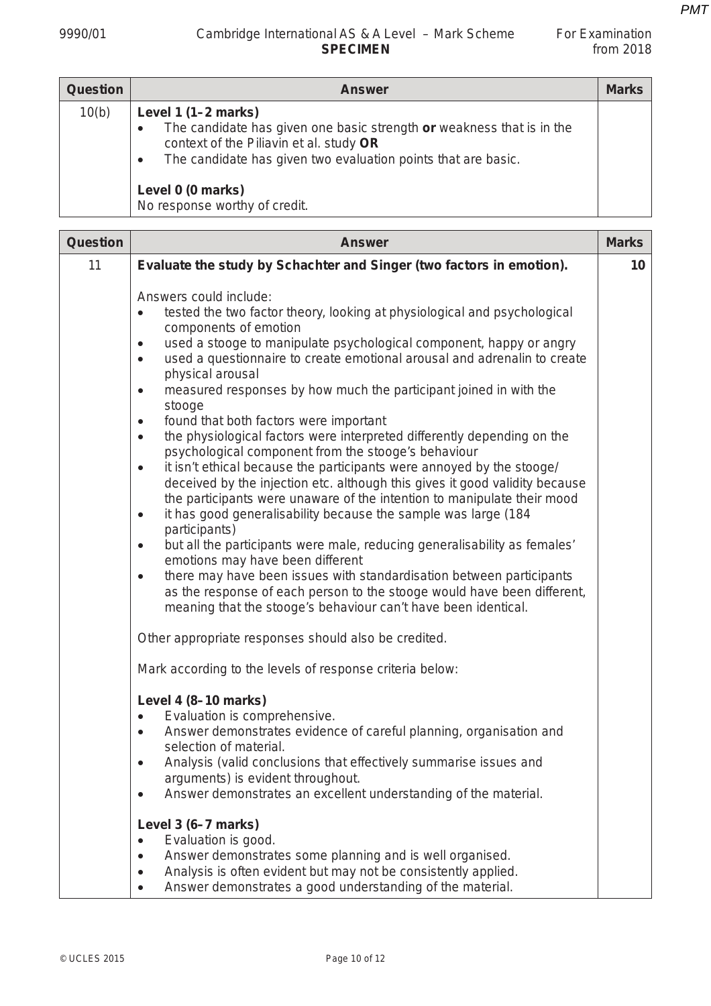| For Examination |             |
|-----------------|-------------|
|                 | from $2018$ |

| <b>Question</b> | <b>Answer</b>                                                                                                                                                                                                           | <b>Marks</b> |
|-----------------|-------------------------------------------------------------------------------------------------------------------------------------------------------------------------------------------------------------------------|--------------|
| 10(b)           | Level 1 $(1-2$ marks)<br>The candidate has given one basic strength or weakness that is in the<br>context of the Piliavin et al. study OR<br>The candidate has given two evaluation points that are basic.<br>$\bullet$ |              |
|                 | Level 0 (0 marks)<br>No response worthy of credit.                                                                                                                                                                      |              |

| Question | <b>Marks</b><br><b>Answer</b>                                                                                                                                                                                                                                                                                                                                                                                                                                                                                                                                                                                                                                                                                                                                                                                                                                                                                                                                                                                                                                                                                                                                                                                                                                                                                                                                                                                                                                           |                 |  |
|----------|-------------------------------------------------------------------------------------------------------------------------------------------------------------------------------------------------------------------------------------------------------------------------------------------------------------------------------------------------------------------------------------------------------------------------------------------------------------------------------------------------------------------------------------------------------------------------------------------------------------------------------------------------------------------------------------------------------------------------------------------------------------------------------------------------------------------------------------------------------------------------------------------------------------------------------------------------------------------------------------------------------------------------------------------------------------------------------------------------------------------------------------------------------------------------------------------------------------------------------------------------------------------------------------------------------------------------------------------------------------------------------------------------------------------------------------------------------------------------|-----------------|--|
| 11       | Evaluate the study by Schachter and Singer (two factors in emotion).                                                                                                                                                                                                                                                                                                                                                                                                                                                                                                                                                                                                                                                                                                                                                                                                                                                                                                                                                                                                                                                                                                                                                                                                                                                                                                                                                                                                    | 10 <sub>1</sub> |  |
|          | Answers could include:<br>tested the two factor theory, looking at physiological and psychological<br>$\bullet$<br>components of emotion<br>used a stooge to manipulate psychological component, happy or angry<br>٠<br>used a questionnaire to create emotional arousal and adrenalin to create<br>$\bullet$<br>physical arousal<br>measured responses by how much the participant joined in with the<br>$\bullet$<br>stooge<br>found that both factors were important<br>$\bullet$<br>the physiological factors were interpreted differently depending on the<br>$\bullet$<br>psychological component from the stooge's behaviour<br>it isn't ethical because the participants were annoyed by the stooge/<br>$\bullet$<br>deceived by the injection etc. although this gives it good validity because<br>the participants were unaware of the intention to manipulate their mood<br>it has good generalisability because the sample was large (184<br>$\bullet$<br>participants)<br>but all the participants were male, reducing generalisability as females'<br>$\bullet$<br>emotions may have been different<br>there may have been issues with standardisation between participants<br>$\bullet$<br>as the response of each person to the stooge would have been different,<br>meaning that the stooge's behaviour can't have been identical.<br>Other appropriate responses should also be credited.<br>Mark according to the levels of response criteria below: |                 |  |
|          | Level 4 (8-10 marks)<br>Evaluation is comprehensive.<br>$\bullet$<br>Answer demonstrates evidence of careful planning, organisation and<br>$\bullet$<br>selection of material.<br>Analysis (valid conclusions that effectively summarise issues and<br>arguments) is evident throughout.<br>Answer demonstrates an excellent understanding of the material.<br>$\bullet$                                                                                                                                                                                                                                                                                                                                                                                                                                                                                                                                                                                                                                                                                                                                                                                                                                                                                                                                                                                                                                                                                                |                 |  |
|          | Level 3 (6-7 marks)<br>Evaluation is good.<br>$\bullet$<br>Answer demonstrates some planning and is well organised.<br>$\bullet$<br>Analysis is often evident but may not be consistently applied.<br>Answer demonstrates a good understanding of the material.<br>$\bullet$                                                                                                                                                                                                                                                                                                                                                                                                                                                                                                                                                                                                                                                                                                                                                                                                                                                                                                                                                                                                                                                                                                                                                                                            |                 |  |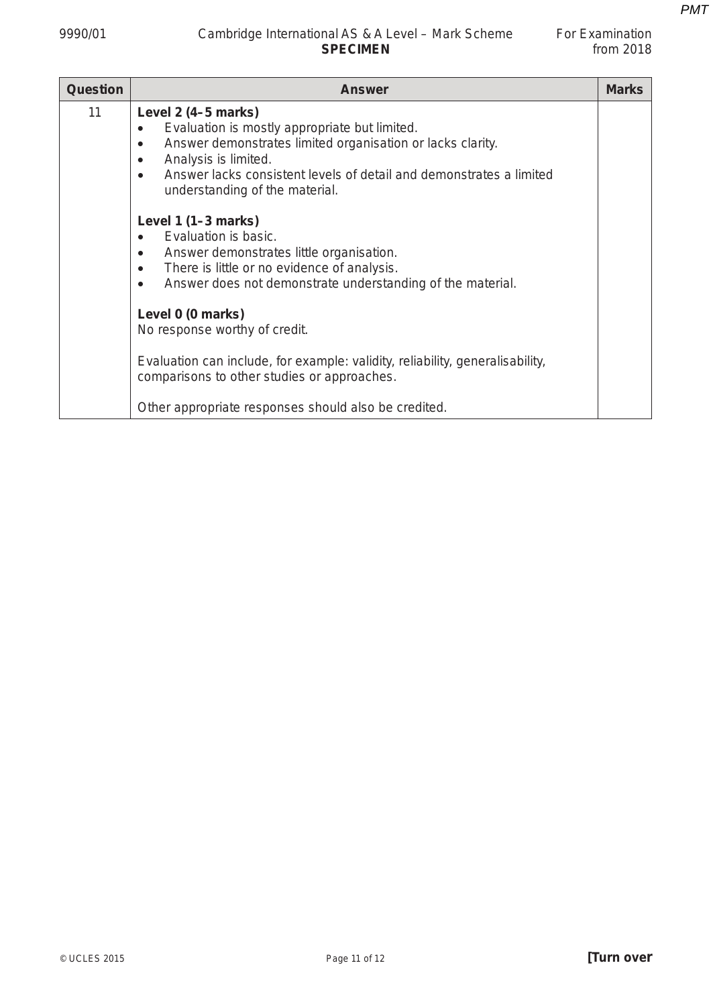## 9990/01 Cambridge International AS & A Level – Mark Scheme For Examination **SPECIMEN**

| For Examination |             |
|-----------------|-------------|
|                 | from $2018$ |

| <b>Question</b> | <b>Answer</b>                                                                                                                                                                                                                                                             | <b>Marks</b> |
|-----------------|---------------------------------------------------------------------------------------------------------------------------------------------------------------------------------------------------------------------------------------------------------------------------|--------------|
| 11              | Level $2(4-5$ marks)<br>Evaluation is mostly appropriate but limited.<br>Answer demonstrates limited organisation or lacks clarity.<br>Analysis is limited.<br>٠<br>Answer lacks consistent levels of detail and demonstrates a limited<br>understanding of the material. |              |
|                 | Level $1(1-3 marks)$<br>Evaluation is basic.<br>Answer demonstrates little organisation.<br>$\bullet$<br>There is little or no evidence of analysis.<br>$\bullet$<br>Answer does not demonstrate understanding of the material.<br>$\bullet$                              |              |
|                 | Level 0 (0 marks)<br>No response worthy of credit.<br>Evaluation can include, for example: validity, reliability, generalisability,<br>comparisons to other studies or approaches.                                                                                        |              |
|                 | Other appropriate responses should also be credited.                                                                                                                                                                                                                      |              |